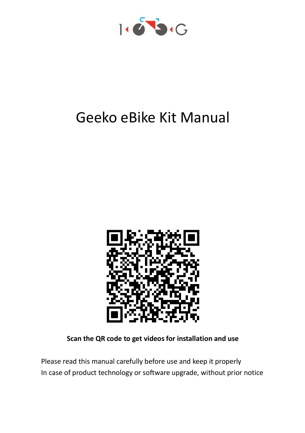

# Geeko eBike Kit Manual



**Scan the QR code to get videos for installation and use**

Please read this manual carefully before use and keep it properly In case of product technology or software upgrade, without prior notice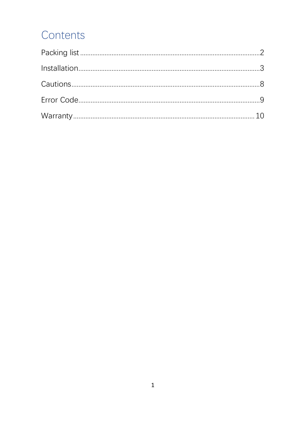### Contents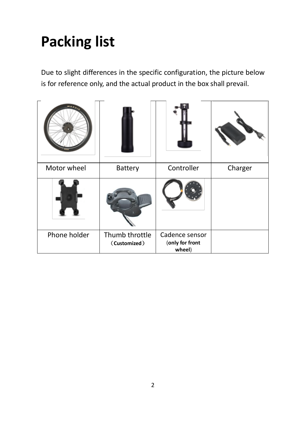# <span id="page-2-0"></span>**Packing list**

Due to slight differences in the specific configuration, the picture below is for reference only, and the actual product in the box shall prevail.

<span id="page-2-1"></span>

| Motor wheel  | Battery                        | Controller                                  | Charger |
|--------------|--------------------------------|---------------------------------------------|---------|
|              |                                |                                             |         |
| Phone holder | Thumb throttle<br>(Customized) | Cadence sensor<br>(only for front<br>wheel) |         |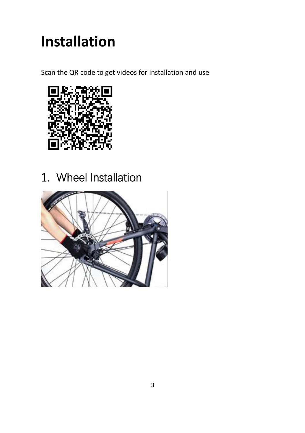# **Installation**

Scan the QR code to get videos for installation and use



### 1. Wheel Installation

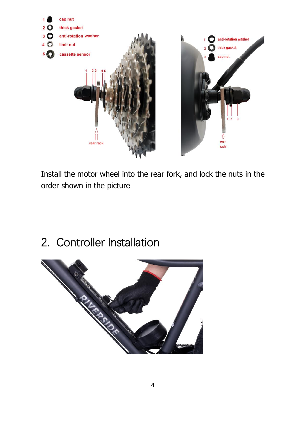

Install the motor wheel into the rear fork, and lock the nuts in the order shown in the picture

2. Controller Installation

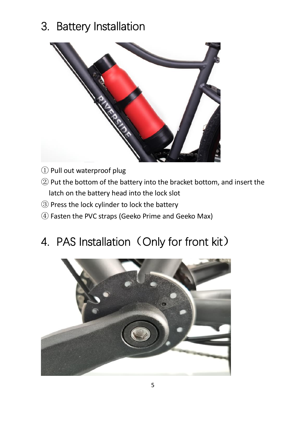### 3. Battery Installation



- Pull out waterproof plug
- Put the bottom of the battery into the bracket bottom, and insert the latch on the battery head into the lock slot
- Press the lock cylinder to lock the battery
- Fasten the PVC straps (Geeko Prime and Geeko Max)

### 4. PAS Installation (Only for front kit)

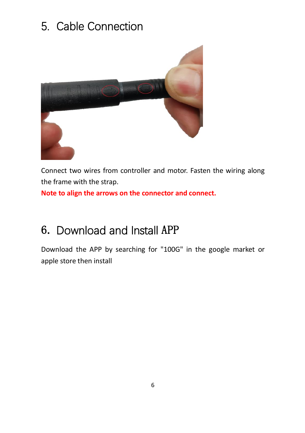#### 5. Cable Connection



Connect two wires from controller and motor. Fasten the wiring along the frame with the strap.

**Note to align the arrows on the connector and connect.** 

#### 6. Download and Install APP

Download the APP by searching for "100G" in the google market or apple store then install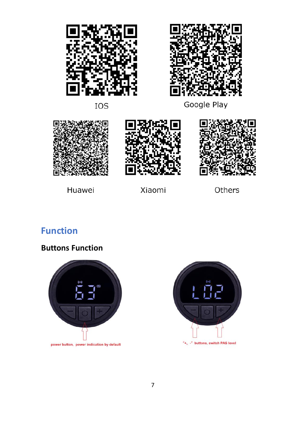



IOS

Google Play







Huawei

Xiaomi

Others

#### **Function**

**Buttons Function**



power button, power indication by default

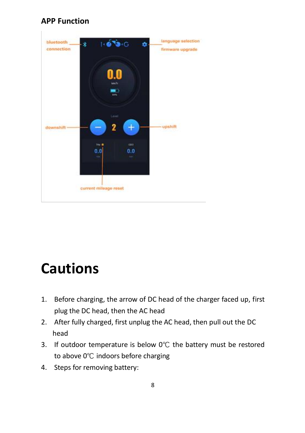#### **APP Function**



## <span id="page-8-0"></span>**Cautions**

- 1. Before charging, the arrow of DC head of the charger faced up, first plug the DC head, then the AC head
- 2. After fully charged, first unplug the AC head, then pull out the DC head
- 3. If outdoor temperature is below 0℃ the battery must be restored to above 0℃ indoors before charging
- 4. Steps for removing battery: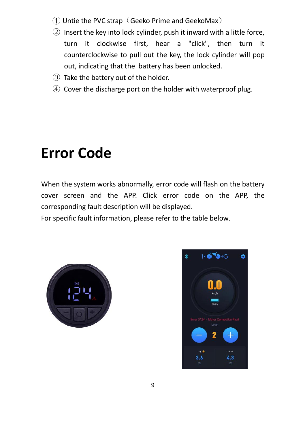- $\Box$  Untie the PVC strap (Geeko Prime and GeekoMax)
- ② Insert the key into lock cylinder, push it inward with a little force, turn it clockwise first, hear a "click", then turn it counterclockwise to pull out the key, the lock cylinder will pop out, indicating that the battery has been unlocked.
- ③ Take the battery out of the holder.
- ④ Cover the discharge port on the holder with waterproof plug.

## <span id="page-9-0"></span>**Error Code**

When the system works abnormally, error code will flash on the battery cover screen and the APP. Click error code on the APP, the corresponding fault description will be displayed.

For specific fault information, please refer to the table below.